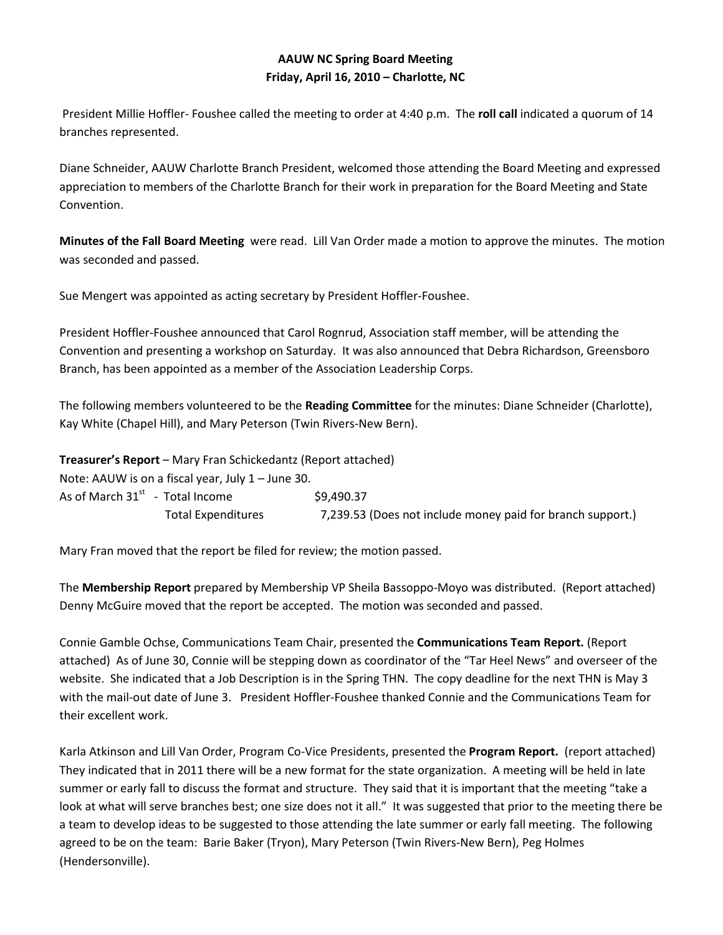## **AAUW NC Spring Board Meeting Friday, April 16, 2010 – Charlotte, NC**

 President Millie Hoffler- Foushee called the meeting to order at 4:40 p.m. The **roll call** indicated a quorum of 14 branches represented.

Diane Schneider, AAUW Charlotte Branch President, welcomed those attending the Board Meeting and expressed appreciation to members of the Charlotte Branch for their work in preparation for the Board Meeting and State Convention.

**Minutes of the Fall Board Meeting** were read. Lill Van Order made a motion to approve the minutes. The motion was seconded and passed.

Sue Mengert was appointed as acting secretary by President Hoffler-Foushee.

President Hoffler-Foushee announced that Carol Rognrud, Association staff member, will be attending the Convention and presenting a workshop on Saturday. It was also announced that Debra Richardson, Greensboro Branch, has been appointed as a member of the Association Leadership Corps.

The following members volunteered to be the **Reading Committee** for the minutes: Diane Schneider (Charlotte), Kay White (Chapel Hill), and Mary Peterson (Twin Rivers-New Bern).

|                                   | <b>Treasurer's Report</b> – Mary Fran Schickedantz (Report attached) |                                                            |
|-----------------------------------|----------------------------------------------------------------------|------------------------------------------------------------|
|                                   | Note: AAUW is on a fiscal year, July $1 -$ June 30.                  |                                                            |
| As of March $31st$ - Total Income |                                                                      | \$9,490.37                                                 |
|                                   | <b>Total Expenditures</b>                                            | 7,239.53 (Does not include money paid for branch support.) |

Mary Fran moved that the report be filed for review; the motion passed.

The **Membership Report** prepared by Membership VP Sheila Bassoppo-Moyo was distributed. (Report attached) Denny McGuire moved that the report be accepted. The motion was seconded and passed.

Connie Gamble Ochse, Communications Team Chair, presented the **Communications Team Report.** (Report attached) As of June 30, Connie will be stepping down as coordinator of the "Tar Heel News" and overseer of the website. She indicated that a Job Description is in the Spring THN. The copy deadline for the next THN is May 3 with the mail-out date of June 3. President Hoffler-Foushee thanked Connie and the Communications Team for their excellent work.

Karla Atkinson and Lill Van Order, Program Co-Vice Presidents, presented the **Program Report.** (report attached) They indicated that in 2011 there will be a new format for the state organization. A meeting will be held in late summer or early fall to discuss the format and structure. They said that it is important that the meeting "take a look at what will serve branches best; one size does not it all." It was suggested that prior to the meeting there be a team to develop ideas to be suggested to those attending the late summer or early fall meeting. The following agreed to be on the team: Barie Baker (Tryon), Mary Peterson (Twin Rivers-New Bern), Peg Holmes (Hendersonville).